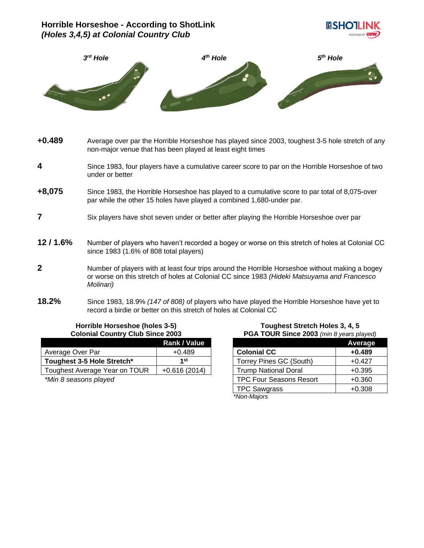# **Horrible Horseshoe - According to ShotLink** *(Holes 3,4,5) at Colonial Country Club*





- **+0.489** Average over par the Horrible Horseshoe has played since 2003, toughest 3-5 hole stretch of any non-major venue that has been played at least eight times
- **4** Since 1983, four players have a cumulative career score to par on the Horrible Horseshoe of two under or better
- **+8,075** Since 1983, the Horrible Horseshoe has played to a cumulative score to par total of 8,075-over par while the other 15 holes have played a combined 1,680-under par.
- **7** Six players have shot seven under or better after playing the Horrible Horseshoe over par
- **12 / 1.6%** Number of players who haven't recorded a bogey or worse on this stretch of holes at Colonial CC since 1983 (1.6% of 808 total players)
- **2** Number of players with at least four trips around the Horrible Horseshoe without making a bogey or worse on this stretch of holes at Colonial CC since 1983 *(Hideki Matsuyama and Francesco Molinari)*
- **18.2%** Since 1983, 18.9% *(147 of 808)* of players who have played the Horrible Horseshoe have yet to record a birdie or better on this stretch of holes at Colonial CC

#### **Horrible Horseshoe (holes 3-5) Colonial Country Club Since 2003**

|                               | <b>Rank / Value</b> |
|-------------------------------|---------------------|
| Average Over Par              | $+0.489$            |
| Toughest 3-5 Hole Stretch*    | 1st                 |
| Toughest Average Year on TOUR | $+0.616(2014)$      |
| $+11$ $-21$ $-12$ $-12$ $-12$ |                     |

*\*Min 8 seasons played*

**Toughest Stretch Holes 3, 4, 5 PGA TOUR Since 2003** *(min 8 years played)*

|                                | <b>Average</b> |
|--------------------------------|----------------|
| <b>Colonial CC</b>             | $+0.489$       |
| Torrey Pines GC (South)        | $+0.427$       |
| <b>Trump National Doral</b>    | $+0.395$       |
| <b>TPC Four Seasons Resort</b> | $+0.360$       |
| <b>TPC Sawgrass</b>            | $+0.308$       |
| $*$ Non-Maiore                 |                |

*\*Non-Majors*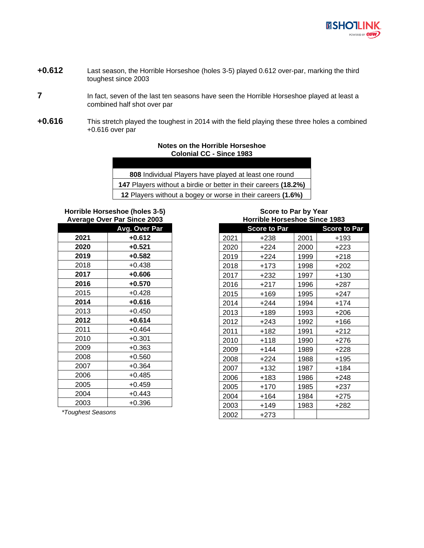

- **+0.612** Last season, the Horrible Horseshoe (holes 3-5) played 0.612 over-par, marking the third toughest since 2003
- In fact, seven of the last ten seasons have seen the Horrible Horseshoe played at least a combined half shot over par
- **+0.616** This stretch played the toughest in 2014 with the field playing these three holes a combined +0.616 over par

## **Notes on the Horrible Horseshoe Colonial CC - Since 1983**

| 808 Individual Players have played at least one round           |
|-----------------------------------------------------------------|
| 147 Players without a birdie or better in their careers (18.2%) |
| 12 Players without a bogey or worse in their careers (1.6%)     |

**Horrible Horseshoe (holes 3-5) Average Over Par Since 2003**

| י כ∽י |                      |
|-------|----------------------|
|       | <b>Avg. Over Par</b> |
| 2021  | $+0.612$             |
| 2020  | +0.521               |
| 2019  | $+0.582$             |
| 2018  | $+0.438$             |
| 2017  | $+0.606$             |
| 2016  | $+0.570$             |
| 2015  | $+0.428$             |
| 2014  | $+0.616$             |
| 2013  | $+0.450$             |
| 2012  | $+0.614$             |
| 2011  | $+0.464$             |
| 2010  | $+0.301$             |
| 2009  | $+0.363$             |
| 2008  | $+0.560$             |
| 2007  | $+0.364$             |
| 2006  | $+0.485$             |
| 2005  | $+0.459$             |
| 2004  | $+0.443$             |
| 2003  | $+0.396$             |

**Score to Par by Year Horrible Horseshoe Since 1983**

|      | <b>Score to Par</b> |      | <b>Score to Par</b> |
|------|---------------------|------|---------------------|
| 2021 | +238                | 2001 | +193                |
| 2020 | $+224$              | 2000 | +223                |
| 2019 | $+224$              | 1999 | +218                |
| 2018 | $+173$              | 1998 | +202                |
| 2017 | $+232$              | 1997 | $+130$              |
| 2016 | $+217$              | 1996 | $+287$              |
| 2015 | $+169$              | 1995 | +247                |
| 2014 | $+244$              | 1994 | +174                |
| 2013 | +189                | 1993 | $+206$              |
| 2012 | $+243$              | 1992 | $+166$              |
| 2011 | $+182$              | 1991 | $+212$              |
| 2010 | $+118$              | 1990 | $+276$              |
| 2009 | $+144$              | 1989 | $+228$              |
| 2008 | $+224$              | 1988 | $+195$              |
| 2007 | +132                | 1987 | $+184$              |
| 2006 | $+183$              | 1986 | +248                |
| 2005 | $+170$              | 1985 | $+237$              |
| 2004 | $+164$              | 1984 | $+275$              |
| 2003 | $+149$              | 1983 | +282                |
| 2002 | $+273$              |      |                     |

*\*Toughest Seasons*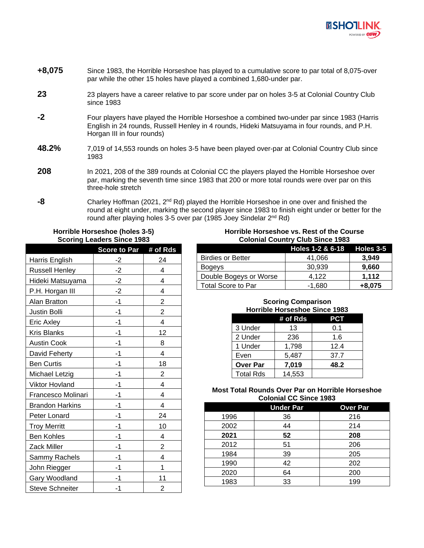

- **+8,075** Since 1983, the Horrible Horseshoe has played to a cumulative score to par total of 8,075-over par while the other 15 holes have played a combined 1,680-under par.
- **23** 23 players have a career relative to par score under par on holes 3-5 at Colonial Country Club since 1983
- **-2** Four players have played the Horrible Horseshoe a combined two-under par since 1983 (Harris English in 24 rounds, Russell Henley in 4 rounds, Hideki Matsuyama in four rounds, and P.H. Horgan III in four rounds)
- **48.2%** 7,019 of 14,553 rounds on holes 3-5 have been played over-par at Colonial Country Club since 1983
- **208** In 2021, 208 of the 389 rounds at Colonial CC the players played the Horrible Horseshoe over par, marking the seventh time since 1983 that 200 or more total rounds were over par on this three-hole stretch
- **-8** Charley Hoffman (2021, 2nd Rd) played the Horrible Horseshoe in one over and finished the round at eight under, marking the second player since 1983 to finish eight under or better for the round after playing holes 3-5 over par (1985 Joey Sindelar 2<sup>nd</sup> Rd)

## **Horrible Horseshoe (holes 3-5) Scoring Leaders Since 1983**

|                        | Score to Par # of Rds |                |
|------------------------|-----------------------|----------------|
| Harris English         | $-2$                  | 24             |
| <b>Russell Henley</b>  | $-2$                  | 4              |
| Hideki Matsuyama       | $-2$                  | 4              |
| P.H. Horgan III        | $-2$                  | 4              |
| Alan Bratton           | $-1$                  | $\overline{c}$ |
| Justin Bolli           | $-1$                  | $\overline{c}$ |
| Eric Axley             | $-1$                  | 4              |
| <b>Kris Blanks</b>     | $-1$                  | 12             |
| <b>Austin Cook</b>     | $-1$                  | 8              |
| David Feherty          | -1                    | 4              |
| <b>Ben Curtis</b>      | $-1$                  | 18             |
| Michael Letzig         | -1                    | 2              |
| Viktor Hovland         | $-1$                  | 4              |
| Francesco Molinari     | $-1$                  | 4              |
| <b>Brandon Harkins</b> | -1                    | 4              |
| Peter Lonard           | $-1$                  | 24             |
| <b>Troy Merritt</b>    | -1                    | 10             |
| <b>Ben Kohles</b>      | -1                    | 4              |
| Zack Miller            | -1                    | $\overline{2}$ |
| Sammy Rachels          | -1                    | 4              |
| John Riegger           | -1                    | 1              |
| Gary Woodland          | -1                    | 11             |
| <b>Steve Schneiter</b> | -1                    | 2              |

## **Horrible Horseshoe vs. Rest of the Course Colonial Country Club Since 1983**

|                           | Holes 1-2 & 6-18 Holes 3-5 |          |
|---------------------------|----------------------------|----------|
| <b>Birdies or Better</b>  | 41.066                     | 3.949    |
| <b>Bogeys</b>             | 30.939                     | 9,660    |
| Double Bogeys or Worse    | 4.122                      | 1.112    |
| <b>Total Score to Par</b> | $-1,680$                   | $+8,075$ |

# **Scoring Comparison Horrible Horseshoe Since 1983**

|                  | # of Rds | PCT  |
|------------------|----------|------|
| 3 Under          | 13       | 0.1  |
| 2 Under          | 236      | 1.6  |
| 1 Under          | 1,798    | 12.4 |
| Even             | 5,487    | 37.7 |
| <b>Over Par</b>  | 7,019    | 48.2 |
| <b>Total Rds</b> | 14,553   |      |

## **Most Total Rounds Over Par on Horrible Horseshoe Colonial CC Since 1983**

|      | <b>Under Par</b> | <b>Over Par</b> |
|------|------------------|-----------------|
| 1996 | 36               | 216             |
| 2002 | 44               | 214             |
| 2021 | 52               | 208             |
| 2012 | 51               | 206             |
| 1984 | 39               | 205             |
| 1990 | 42               | 202             |
| 2020 | 64               | 200             |
| 1983 | 33               | 199             |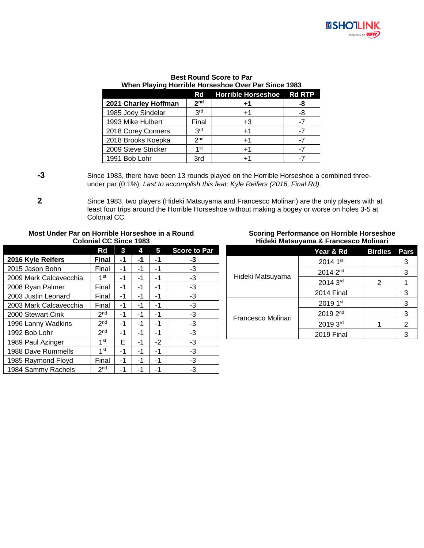

## **Best Round Score to Par When Playing Horrible Horseshoe Over Par Since 1983**

|                      | Rd              | Horrible Horseshoe Rd RTP |    |
|----------------------|-----------------|---------------------------|----|
| 2021 Charley Hoffman | 2 <sub>nd</sub> | $+1$                      | -8 |
| 1985 Joey Sindelar   | 3 <sup>rd</sup> | $+1$                      | -8 |
| 1993 Mike Hulbert    | Final           | +3                        |    |
| 2018 Corey Conners   | <b>PLC</b>      | +1                        |    |
| 2018 Brooks Koepka   | 2 <sub>nd</sub> | $+1$                      |    |
| 2009 Steve Stricker  | 1 st            | +1                        |    |
| 1991 Bob Lohr        | 3rd             |                           |    |

**-3** Since 1983, there have been 13 rounds played on the Horrible Horseshoe a combined threeunder par (0.1%). *Last to accomplish this feat: Kyle Reifers (2016, Final Rd).*

**2** Since 1983, two players (Hideki Matsuyama and Francesco Molinari) are the only players with at least four trips around the Horrible Horseshoe without making a bogey or worse on holes 3-5 at Colonial CC.

### **Most Under Par on Horrible Horseshoe in a Round Colonial CC Since 1983**

|                        | Rd              | 3  | 4  | 5    | <b>Score to Par</b> |
|------------------------|-----------------|----|----|------|---------------------|
| 2016 Kyle Reifers      | Final           | -1 | -1 | -1   | -3                  |
| 2015 Jason Bohn        | Final           | -1 | -1 | -1   | -3                  |
| 2009 Mark Calcavecchia | 1 <sup>st</sup> | -1 | -1 | -1   | -3                  |
| 2008 Ryan Palmer       | Final           | -1 | -1 | -1   | -3                  |
| 2003 Justin Leonard    | Final           | -1 | -1 | -1   | -3                  |
| 2003 Mark Calcavecchia | Final           | -1 | -1 | -1   | -3                  |
| 2000 Stewart Cink      | 2 <sub>nd</sub> | -1 | -1 | -1   | -3                  |
| 1996 Lanny Wadkins     | 2 <sub>nd</sub> | -1 | -1 | -1   | -3                  |
| 1992 Bob Lohr          | 2 <sub>nd</sub> | -1 | -1 | -1   | $-3$                |
| 1989 Paul Azinger      | $1$ st          | F  | -1 | $-2$ | -3                  |
| 1988 Dave Rummells     | 1st             | -1 | -1 | -1   | -3                  |
| 1985 Raymond Floyd     | Final           | -1 | -1 | -1   | -3                  |
| 1984 Sammy Rachels     | 2 <sub>nd</sub> | -1 | -1 | -1   | -3                  |

### **Scoring Performance on Horrible Horseshoe Hideki Matsuyama & Francesco Molinari**

|                    | Year & Rd            | <b>Birdies</b> | Pars |
|--------------------|----------------------|----------------|------|
| Hideki Matsuyama   | 2014 1st             |                | 3    |
|                    | 2014 2 <sup>nd</sup> |                | 3    |
|                    | 2014 3rd             | 2              |      |
|                    | 2014 Final           |                | 3    |
|                    | 2019 1st             |                | 3    |
| Francesco Molinari | 2019 2nd             |                | 3    |
|                    | 2019 3rd             |                | 2    |
|                    | <b>2019 Final</b>    |                |      |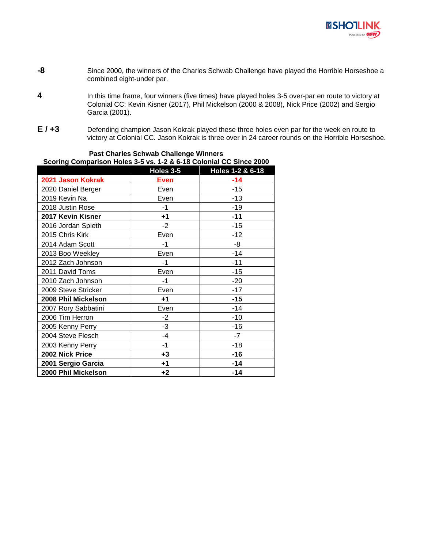

- **-8** Since 2000, the winners of the Charles Schwab Challenge have played the Horrible Horseshoe a combined eight-under par.
- **4** In this time frame, four winners (five times) have played holes 3-5 over-par en route to victory at Colonial CC: Kevin Kisner (2017), Phil Mickelson (2000 & 2008), Nick Price (2002) and Sergio Garcia (2001).
- **E / +3** Defending champion Jason Kokrak played these three holes even par for the week en route to victory at Colonial CC. Jason Kokrak is three over in 24 career rounds on the Horrible Horseshoe.

| 3001111g Companson Holes 3-3 vs. T-2 & 0-10 Colonial CC Since 2000 |             |                  |  |  |  |  |
|--------------------------------------------------------------------|-------------|------------------|--|--|--|--|
|                                                                    | Holes 3-5   | Holes 1-2 & 6-18 |  |  |  |  |
| 2021 Jason Kokrak                                                  | <b>Even</b> | $-14$            |  |  |  |  |
| 2020 Daniel Berger                                                 | Even        | -15              |  |  |  |  |
| 2019 Kevin Na                                                      | Even        | -13              |  |  |  |  |
| 2018 Justin Rose                                                   | -1          | $-19$            |  |  |  |  |
| 2017 Kevin Kisner                                                  | +1          | $-11$            |  |  |  |  |
| 2016 Jordan Spieth                                                 | $-2$        | -15              |  |  |  |  |
| 2015 Chris Kirk                                                    | Even        | $-12$            |  |  |  |  |
| 2014 Adam Scott                                                    | -1          | -8               |  |  |  |  |
| 2013 Boo Weekley                                                   | Even        | $-14$            |  |  |  |  |
| 2012 Zach Johnson                                                  | $-1$        | -11              |  |  |  |  |
| 2011 David Toms                                                    | Even        | $-15$            |  |  |  |  |
| 2010 Zach Johnson                                                  | $-1$        | $-20$            |  |  |  |  |
| 2009 Steve Stricker                                                | Even        | -17              |  |  |  |  |
| 2008 Phil Mickelson                                                | +1          | $-15$            |  |  |  |  |
| 2007 Rory Sabbatini                                                | Even        | -14              |  |  |  |  |
| 2006 Tim Herron                                                    | $-2$        | -10              |  |  |  |  |
| 2005 Kenny Perry                                                   | $-3$        | $-16$            |  |  |  |  |
| 2004 Steve Flesch                                                  | $-4$        | $-7$             |  |  |  |  |
| 2003 Kenny Perry                                                   | $-1$        | $-18$            |  |  |  |  |
| 2002 Nick Price                                                    | $+3$        | -16              |  |  |  |  |
| 2001 Sergio Garcia                                                 | $+1$        | -14              |  |  |  |  |
| 2000 Phil Mickelson                                                | $+2$        | -14              |  |  |  |  |

## **Past Charles Schwab Challenge Winners Scoring Comparison Holes 3-5 vs. 1-2 & 6-18 Colonial CC Since 2000**